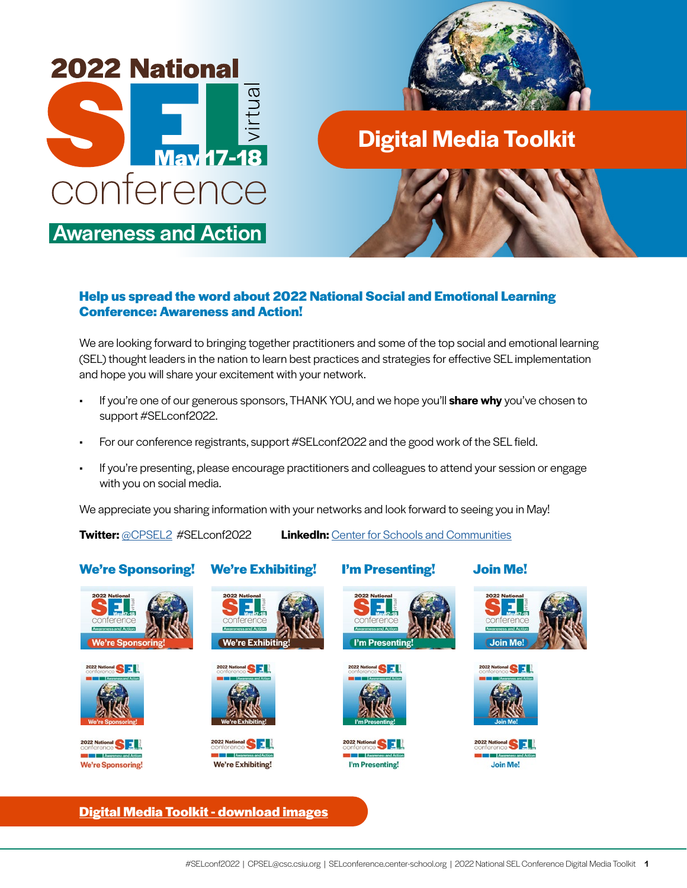



**Digital Media Toolkit**

#### **Help us spread the word about 2022 National Social and Emotional Learning Conference: Awareness and Action!**

We are looking forward to bringing together practitioners and some of the top social and emotional learning (SEL) thought leaders in the nation to learn best practices and strategies for effective SEL implementation and hope you will share your excitement with your network.

- If you're one of our generous sponsors, THANK YOU, and we hope you'll **share why** you've chosen to support #SELconf2022.
- For our conference registrants, support #SELconf2022 and the good work of the SEL field.
- If you're presenting, please encourage practitioners and colleagues to attend your session or engage with you on social media.

We appreciate you sharing information with your networks and look forward to seeing you in May!

**Twitter:** [@CPSEL2](https://twitter.com/CPSEL2) #SELconf2022 **LinkedIn:** [Center for Schools and Communities](https://www.linkedin.com/company/center-for-schools-and-communities)

### **We're Sponsoring! We're Exhibiting! I'm Presenting! Join Me!**









We're Exhibiti

**ational SEL** 

We're Exhibiting!

8 E L



I'm Presentin







**Join Me** 





#### **[Digital Media Toolkit - download images](https://selconference.center-school.org/digital-media-toolkit/)**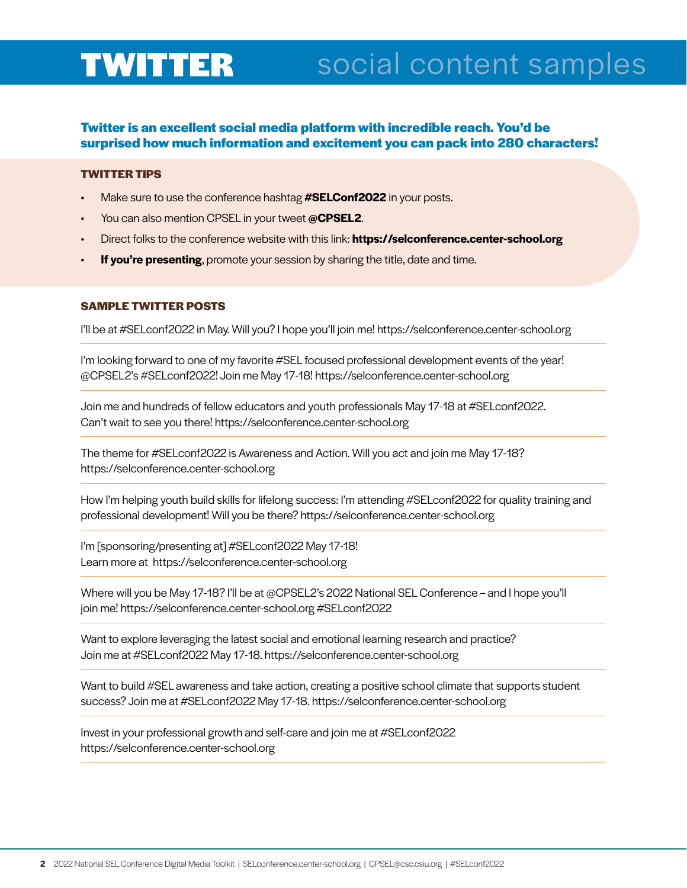## TWITTER social content samples

#### **Twitter is an excellent social media platform with incredible reach. You'd be surprised how much information and excitement you can pack into 280 characters!**

#### **TWITTER TIPS**

- Make sure to use the conference hashtag **#SELConf2022** in your posts.
- You can also mention CPSEL in your tweet **@CPSEL2**.
- Direct folks to the conference website with this link: **https://selconference.center-school.org**
- **If you're presenting**, promote your session by sharing the title, date and time.

#### **SAMPLE TWITTER POSTS**

I'll be at #SELconf2022 in May. Will you? I hope you'll join me! https://selconference.center-school.org

I'm looking forward to one of my favorite #SEL focused professional development events of the year! @CPSEL2's #SELconf2022! Join me May 17-18! https://selconference.center-school.org

Join me and hundreds of fellow educators and youth professionals May 17-18 at #SELconf2022. Can't wait to see you there! https://selconference.center-school.org

The theme for #SELconf2022 is Awareness and Action. Will you act and join me May 17-18? https://selconference.center-school.org

How I'm helping youth build skills for lifelong success: I'm attending #SELconf2022 for quality training and professional development! Will you be there? https://selconference.center-school.org

I'm [sponsoring/presenting at] #SELconf2022 May 17-18! Learn more at https://selconference.center-school.org

Where will you be May 17-18? I'll be at @CPSEL2's 2022 National SEL Conference – and I hope you'll join me! https://selconference.center-school.org #SELconf2022

Want to explore leveraging the latest social and emotional learning research and practice? Join me at #SELconf2022 May 17-18. https://selconference.center-school.org

Want to build #SEL awareness and take action, creating a positive school climate that supports student success? Join me at #SELconf2022 May 17-18. https://selconference.center-school.org

Invest in your professional growth and self-care and join me at #SELconf2022 https://selconference.center-school.org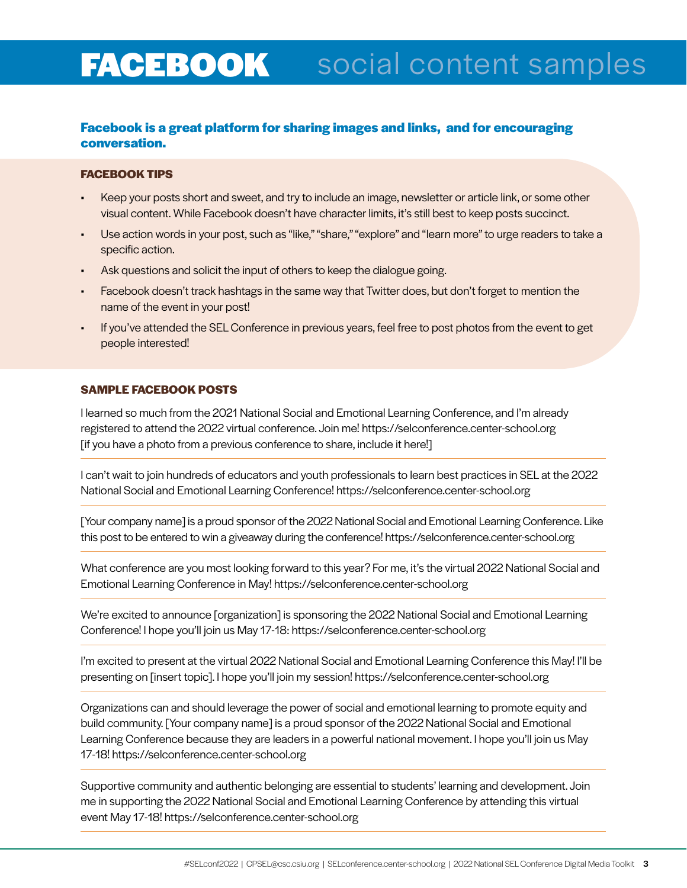# **FACEBOOK** social content samples

#### **Facebook is a great platform for sharing images and links, and for encouraging conversation.**

#### **FACEBOOK TIPS**

- Keep your posts short and sweet, and try to include an image, newsletter or article link, or some other visual content. While Facebook doesn't have character limits, it's still best to keep posts succinct.
- Use action words in your post, such as "like," "share," "explore" and "learn more" to urge readers to take a specific action.
- Ask questions and solicit the input of others to keep the dialogue going.
- Facebook doesn't track hashtags in the same way that Twitter does, but don't forget to mention the name of the event in your post!
- If you've attended the SEL Conference in previous years, feel free to post photos from the event to get people interested!

#### **SAMPLE FACEBOOK POSTS**

I learned so much from the 2021 National Social and Emotional Learning Conference, and I'm already registered to attend the 2022 virtual conference. Join me! https://selconference.center-school.org [if you have a photo from a previous conference to share, include it here!]

I can't wait to join hundreds of educators and youth professionals to learn best practices in SEL at the 2022 National Social and Emotional Learning Conference! https://selconference.center-school.org

[Your company name] is a proud sponsor of the 2022 National Social and Emotional Learning Conference. Like this post to be entered to win a giveaway during the conference! https://selconference.center-school.org

What conference are you most looking forward to this year? For me, it's the virtual 2022 National Social and Emotional Learning Conference in May! https://selconference.center-school.org

We're excited to announce [organization] is sponsoring the 2022 National Social and Emotional Learning Conference! I hope you'll join us May 17-18: https://selconference.center-school.org

I'm excited to present at the virtual 2022 National Social and Emotional Learning Conference this May! I'll be presenting on [insert topic]. I hope you'll join my session! https://selconference.center-school.org

Organizations can and should leverage the power of social and emotional learning to promote equity and build community. [Your company name] is a proud sponsor of the 2022 National Social and Emotional Learning Conference because they are leaders in a powerful national movement. I hope you'll join us May 17-18! https://selconference.center-school.org

Supportive community and authentic belonging are essential to students' learning and development. Join me in supporting the 2022 National Social and Emotional Learning Conference by attending this virtual event May 17-18! https://selconference.center-school.org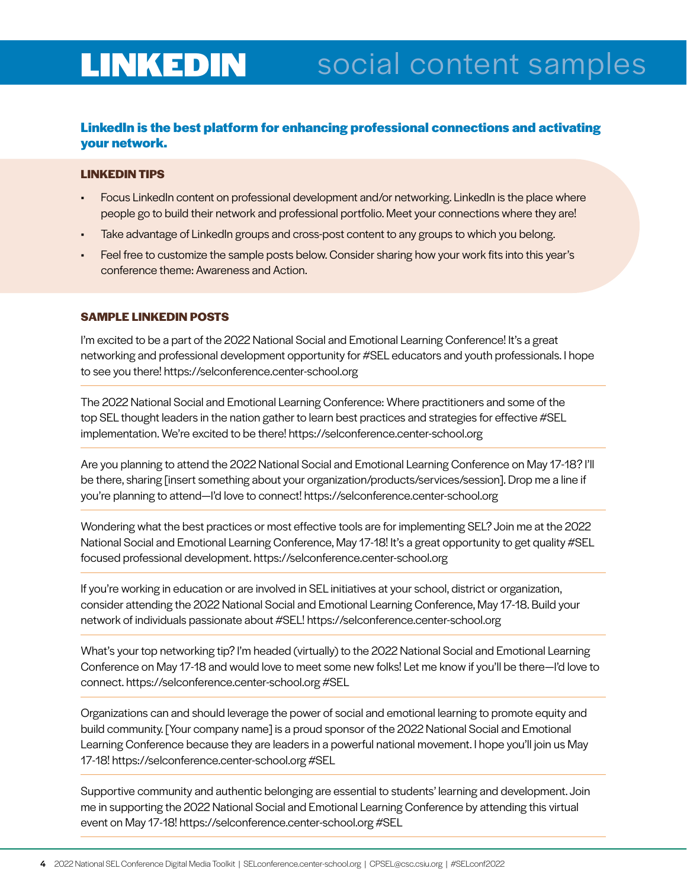# LINKEDIN social content samples

#### **LinkedIn is the best platform for enhancing professional connections and activating your network.**

#### **LINKEDIN TIPS**

- Focus LinkedIn content on professional development and/or networking. LinkedIn is the place where people go to build their network and professional portfolio. Meet your connections where they are!
- Take advantage of LinkedIn groups and cross-post content to any groups to which you belong.
- Feel free to customize the sample posts below. Consider sharing how your work fits into this year's conference theme: Awareness and Action.

#### **SAMPLE LINKEDIN POSTS**

I'm excited to be a part of the 2022 National Social and Emotional Learning Conference! It's a great networking and professional development opportunity for #SEL educators and youth professionals. I hope to see you there! https://selconference.center-school.org

The 2022 National Social and Emotional Learning Conference: Where practitioners and some of the top SEL thought leaders in the nation gather to learn best practices and strategies for effective #SEL implementation. We're excited to be there! https://selconference.center-school.org

Are you planning to attend the 2022 National Social and Emotional Learning Conference on May 17-18? I'll be there, sharing [insert something about your organization/products/services/session]. Drop me a line if you're planning to attend—I'd love to connect! https://selconference.center-school.org

Wondering what the best practices or most effective tools are for implementing SEL? Join me at the 2022 National Social and Emotional Learning Conference, May 17-18! It's a great opportunity to get quality #SEL focused professional development. https://selconference.center-school.org

If you're working in education or are involved in SEL initiatives at your school, district or organization, consider attending the 2022 National Social and Emotional Learning Conference, May 17-18. Build your network of individuals passionate about #SEL! https://selconference.center-school.org

What's your top networking tip? I'm headed (virtually) to the 2022 National Social and Emotional Learning Conference on May 17-18 and would love to meet some new folks! Let me know if you'll be there—I'd love to connect. https://selconference.center-school.org #SEL

Organizations can and should leverage the power of social and emotional learning to promote equity and build community. [Your company name] is a proud sponsor of the 2022 National Social and Emotional Learning Conference because they are leaders in a powerful national movement. I hope you'll join us May 17-18! https://selconference.center-school.org #SEL

Supportive community and authentic belonging are essential to students' learning and development. Join me in supporting the 2022 National Social and Emotional Learning Conference by attending this virtual event on May 17-18! https://selconference.center-school.org #SEL